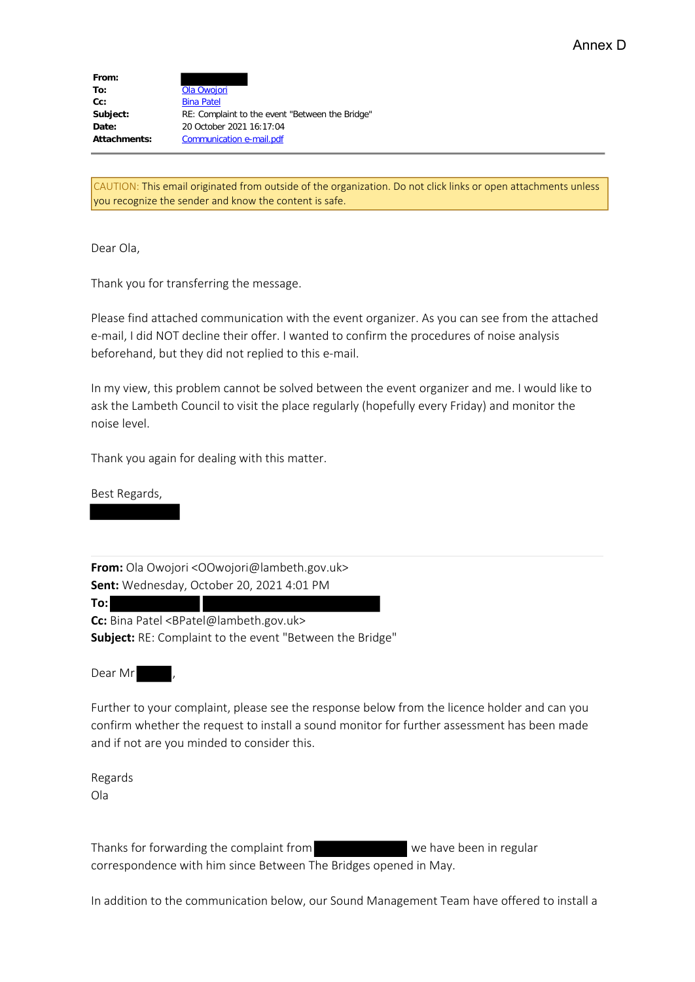| From:        |                                                 |
|--------------|-------------------------------------------------|
| To:          | Ola Owojori                                     |
| Cc:          | <b>Bina Patel</b>                               |
| Subject:     | RE: Complaint to the event "Between the Bridge" |
| Date:        | 20 October 2021 16:17:04                        |
| Attachments: | Communication e-mail.pdf                        |

CAUTION: This email originated from outside of the organization. Do not click links or open attachments unless you recognize the sender and know the content is safe.

Dear Ola,

Thank you for transferring the message.

Please find attached communication with the event organizer. As you can see from the attached e-mail, I did NOT decline their offer. I wanted to confirm the procedures of noise analysis beforehand, but they did not replied to this e-mail.

In my view, this problem cannot be solved between the event organizer and me. I would like to ask the Lambeth Council to visit the place regularly (hopefully every Friday) and monitor the noise level.

Thank you again for dealing with this matter.

Best Regards,

**From:** Ola Owojori <OOwojori@lambeth.gov.uk> **Sent:** Wednesday, October 20, 2021 4:01 PM

**To: Cc:** Bina Patel <BPatel@lambeth.gov.uk> **Subject:** RE: Complaint to the event "Between the Bridge"

Dear Mr

Further to your complaint, please see the response below from the licence holder and can you confirm whether the request to install a sound monitor for further assessment has been made and if not are you minded to consider this.

Regards Ola

Thanks for forwarding the complaint from we have been in regular correspondence with him since Between The Bridges opened in May.

In addition to the communication below, our Sound Management Team have offered to install a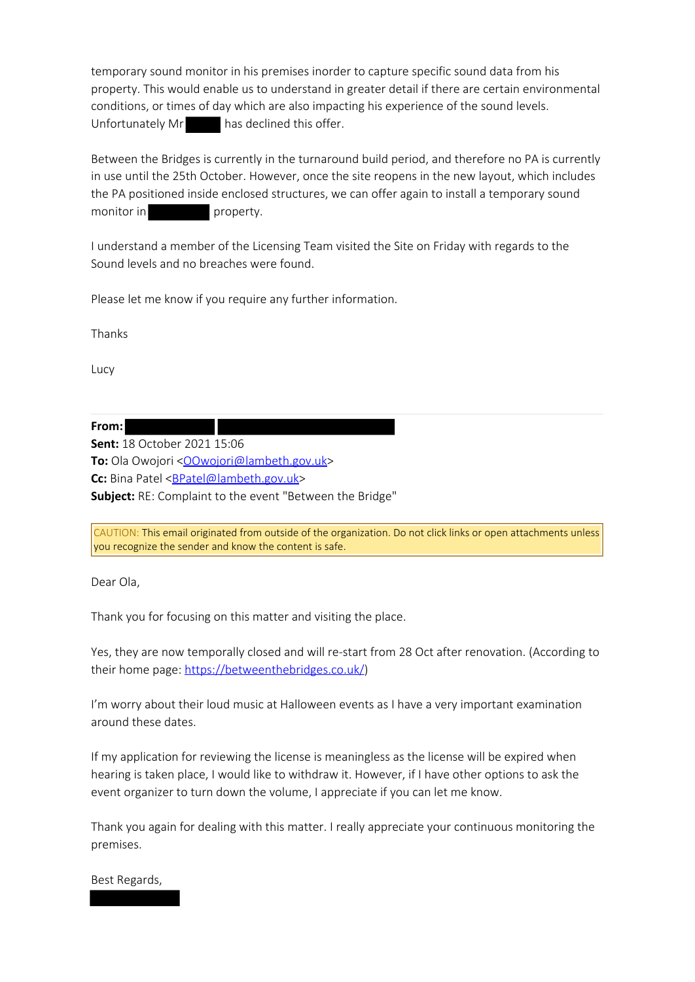temporary sound monitor in his premises inorder to capture specific sound data from his property. This would enable us to understand in greater detail if there are certain environmental conditions, or times of day which are also impacting his experience of the sound levels. Unfortunately Mr has declined this offer.

Between the Bridges is currently in the turnaround build period, and therefore no PA is currently in use until the 25th October. However, once the site reopens in the new layout, which includes the PA positioned inside enclosed structures, we can offer again to install a temporary sound monitor in property.

I understand a member of the Licensing Team visited the Site on Friday with regards to the Sound levels and no breaches were found.

Please let me know if you require any further information.

Thanks

Lucy

**From:**

**Sent:** 18 October 2021 15:06 **To:** Ola Owojori < OOwojori@lambeth.gov.uk> Cc: Bina Patel <**BPatel@lambeth.gov.uk**> **Subject:** RE: Complaint to the event "Between the Bridge"

CAUTION: This email originated from outside of the organization. Do not click links or open attachments unless you recognize the sender and know the content is safe.

Dear Ola,

Thank you for focusing on this matter and visiting the place.

Yes, they are now temporally closed and will re-start from 28 Oct after renovation. (According to their home page: https://betweenthebridges.co.uk/)

I'm worry about their loud music at Halloween events as I have a very important examination around these dates.

If my application for reviewing the license is meaningless as the license will be expired when hearing is taken place, I would like to withdraw it. However, if I have other options to ask the event organizer to turn down the volume, I appreciate if you can let me know.

Thank you again for dealing with this matter. I really appreciate your continuous monitoring the premises.

Best Regards,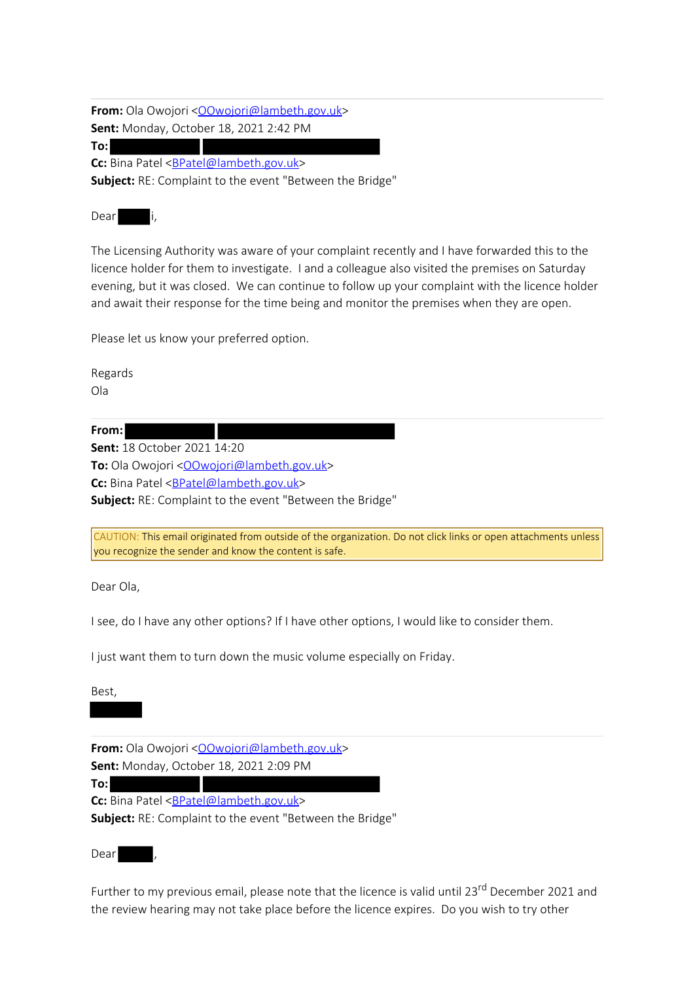**From:** Ola Owojori < OOwojori@lambeth.gov.uk> **Sent:** Monday, October 18, 2021 2:42 PM **To:**

**Cc:** Bina Patel <BPatel@lambeth.gov.uk>

**Subject:** RE: Complaint to the event "Between the Bridge"

Dear i,

The Licensing Authority was aware of your complaint recently and I have forwarded this to the licence holder for them to investigate. I and a colleague also visited the premises on Saturday evening, but it was closed. We can continue to follow up your complaint with the licence holder and await their response for the time being and monitor the premises when they are open.

Please let us know your preferred option.

Regards Ola

**From:**

**Sent:** 18 October 2021 14:20

To: Ola Owojori <**OOwojori@lambeth.gov.uk>** Cc: Bina Patel <**BPatel@lambeth.gov.uk**> **Subject:** RE: Complaint to the event "Between the Bridge"

CAUTION: This email originated from outside of the organization. Do not click links or open attachments unless you recognize the sender and know the content is safe.

Dear Ola,

I see, do I have any other options? If I have other options, I would like to consider them.

I just want them to turn down the music volume especially on Friday.

Best,

**From:** Ola Owojori < OOwojori@lambeth.gov.uk> **Sent:** Monday, October 18, 2021 2:09 PM

**To:**

**Cc:** Bina Patel <**BPatel@lambeth.gov.uk**> **Subject:** RE: Complaint to the event "Between the Bridge"

Dear ,

Further to my previous email, please note that the licence is valid until 23<sup>rd</sup> December 2021 and the review hearing may not take place before the licence expires. Do you wish to try other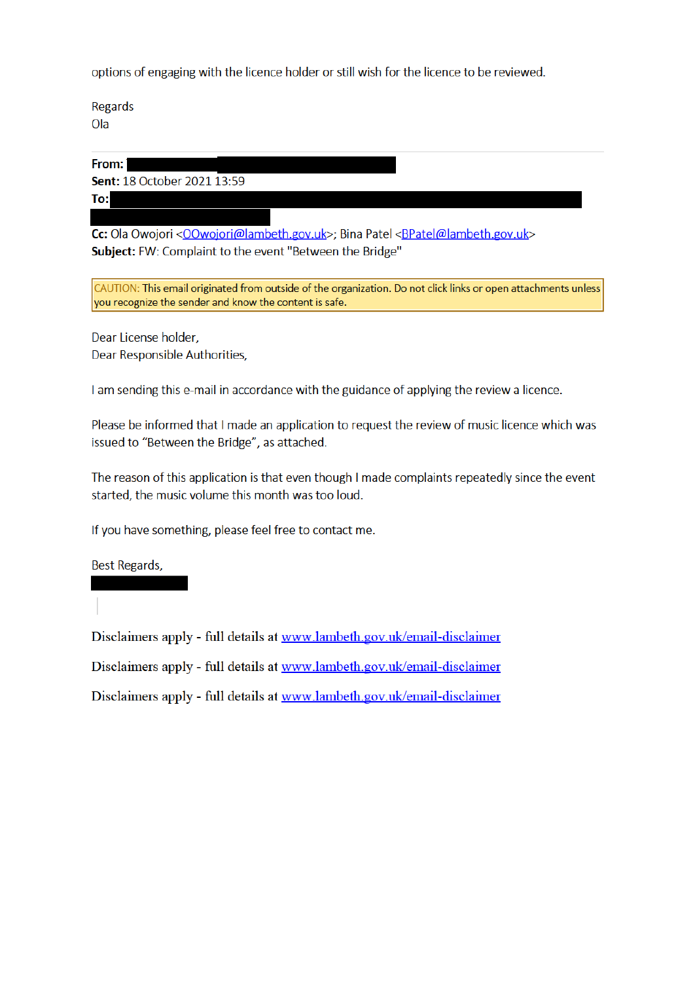options of engaging with the licence holder or still wish for the licence to be reviewed.

Regards Ola

From:

Sent: 18 October 2021 13:59

To:

Cc: Ola Owojori < OOwojori@lambeth.gov.uk>; Bina Patel < BPatel@lambeth.gov.uk> Subject: FW: Complaint to the event "Between the Bridge"

CAUTION: This email originated from outside of the organization. Do not click links or open attachments unless you recognize the sender and know the content is safe.

Dear License holder. Dear Responsible Authorities,

I am sending this e-mail in accordance with the guidance of applying the review a licence.

Please be informed that I made an application to request the review of music licence which was issued to "Between the Bridge", as attached.

The reason of this application is that even though I made complaints repeatedly since the event started, the music volume this month was too loud.

If you have something, please feel free to contact me.

Best Regards,

Disclaimers apply - full details at www.lambeth.gov.uk/email-disclaimer

Disclaimers apply - full details at www.lambeth.gov.uk/email-disclaimer

Disclaimers apply - full details at www.lambeth.gov.uk/email-disclaimer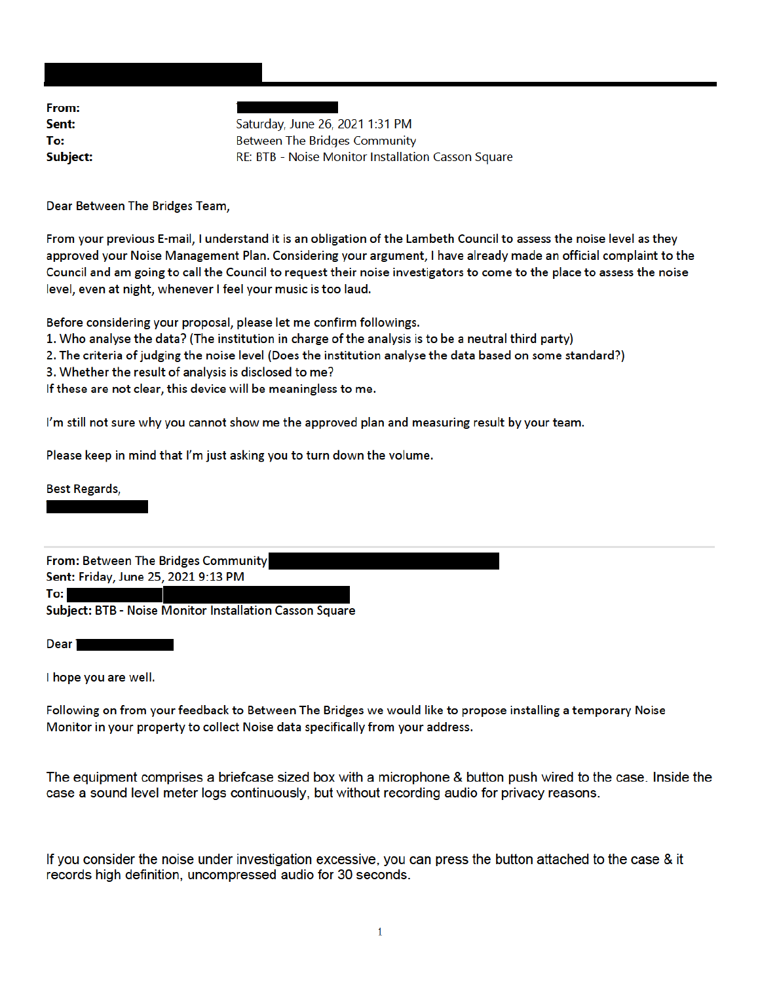From: Sent: To: Subject:

Saturday, June 26, 2021 1:31 PM **Between The Bridges Community** RE: BTB - Noise Monitor Installation Casson Square

Dear Between The Bridges Team,

From your previous E-mail, I understand it is an obligation of the Lambeth Council to assess the noise level as they approved your Noise Management Plan. Considering your argument, I have already made an official complaint to the Council and am going to call the Council to request their noise investigators to come to the place to assess the noise level, even at night, whenever I feel your music is too laud.

Before considering your proposal, please let me confirm followings.

- 1. Who analyse the data? (The institution in charge of the analysis is to be a neutral third party)
- 2. The criteria of judging the noise level (Does the institution analyse the data based on some standard?)
- 3. Whether the result of analysis is disclosed to me?

If these are not clear, this device will be meaningless to me.

I'm still not sure why you cannot show me the approved plan and measuring result by your team.

Please keep in mind that I'm just asking you to turn down the volume.

**Best Regards,** 

From: Between The Bridges Community Sent: Friday, June 25, 2021 9:13 PM

To: I

Subject: BTB - Noise Monitor Installation Casson Square

Dear<sup>1</sup>

I hope you are well.

Following on from your feedback to Between The Bridges we would like to propose installing a temporary Noise Monitor in your property to collect Noise data specifically from your address.

The equipment comprises a briefcase sized box with a microphone & button push wired to the case. Inside the case a sound level meter logs continuously, but without recording audio for privacy reasons.

If you consider the noise under investigation excessive, you can press the button attached to the case & it records high definition, uncompressed audio for 30 seconds.